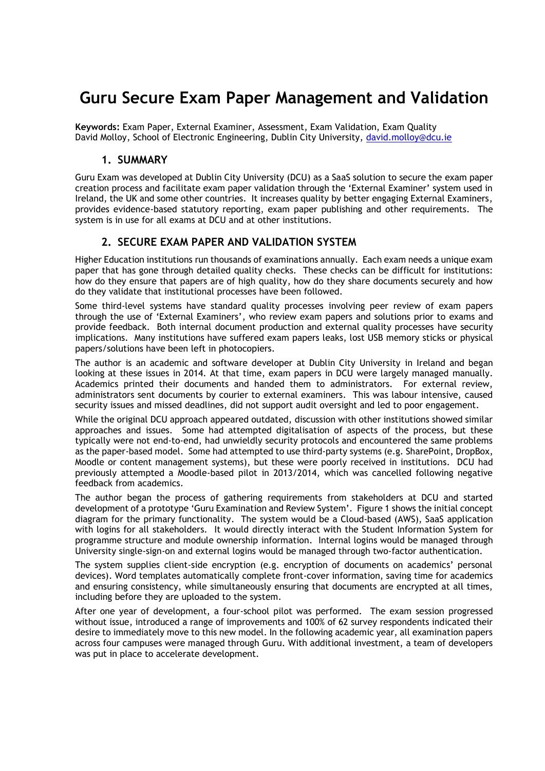## **Guru Secure Exam Paper Management and Validation**

**Keywords:** Exam Paper, External Examiner, Assessment, Exam Validation, Exam Quality David Molloy, School of Electronic Engineering, Dublin City University, [david.molloy@dcu.ie](mailto:david.molloy@dcu.ie)

## **1. SUMMARY**

Guru Exam was developed at Dublin City University (DCU) as a SaaS solution to secure the exam paper creation process and facilitate exam paper validation through the 'External Examiner' system used in Ireland, the UK and some other countries. It increases quality by better engaging External Examiners, provides evidence-based statutory reporting, exam paper publishing and other requirements. The system is in use for all exams at DCU and at other institutions.

## **2. SECURE EXAM PAPER AND VALIDATION SYSTEM**

Higher Education institutions run thousands of examinations annually. Each exam needs a unique exam paper that has gone through detailed quality checks. These checks can be difficult for institutions: how do they ensure that papers are of high quality, how do they share documents securely and how do they validate that institutional processes have been followed.

Some third-level systems have standard quality processes involving peer review of exam papers through the use of 'External Examiners', who review exam papers and solutions prior to exams and provide feedback. Both internal document production and external quality processes have security implications. Many institutions have suffered exam papers leaks, lost USB memory sticks or physical papers/solutions have been left in photocopiers.

The author is an academic and software developer at Dublin City University in Ireland and began looking at these issues in 2014. At that time, exam papers in DCU were largely managed manually. Academics printed their documents and handed them to administrators. For external review, administrators sent documents by courier to external examiners. This was labour intensive, caused security issues and missed deadlines, did not support audit oversight and led to poor engagement.

While the original DCU approach appeared outdated, discussion with other institutions showed similar approaches and issues. Some had attempted digitalisation of aspects of the process, but these typically were not end-to-end, had unwieldly security protocols and encountered the same problems as the paper-based model. Some had attempted to use third-party systems (e.g. SharePoint, DropBox, Moodle or content management systems), but these were poorly received in institutions. DCU had previously attempted a Moodle-based pilot in 2013/2014, which was cancelled following negative feedback from academics.

The author began the process of gathering requirements from stakeholders at DCU and started development of a prototype 'Guru Examination and Review System'. Figure 1 shows the initial concept diagram for the primary functionality. The system would be a Cloud-based (AWS), SaaS application with logins for all stakeholders. It would directly interact with the Student Information System for programme structure and module ownership information. Internal logins would be managed through University single-sign-on and external logins would be managed through two-factor authentication.

The system supplies client-side encryption (e.g. encryption of documents on academics' personal devices). Word templates automatically complete front-cover information, saving time for academics and ensuring consistency, while simultaneously ensuring that documents are encrypted at all times, including before they are uploaded to the system.

After one year of development, a four-school pilot was performed. The exam session progressed without issue, introduced a range of improvements and 100% of 62 survey respondents indicated their desire to immediately move to this new model. In the following academic year, all examination papers across four campuses were managed through Guru. With additional investment, a team of developers was put in place to accelerate development.